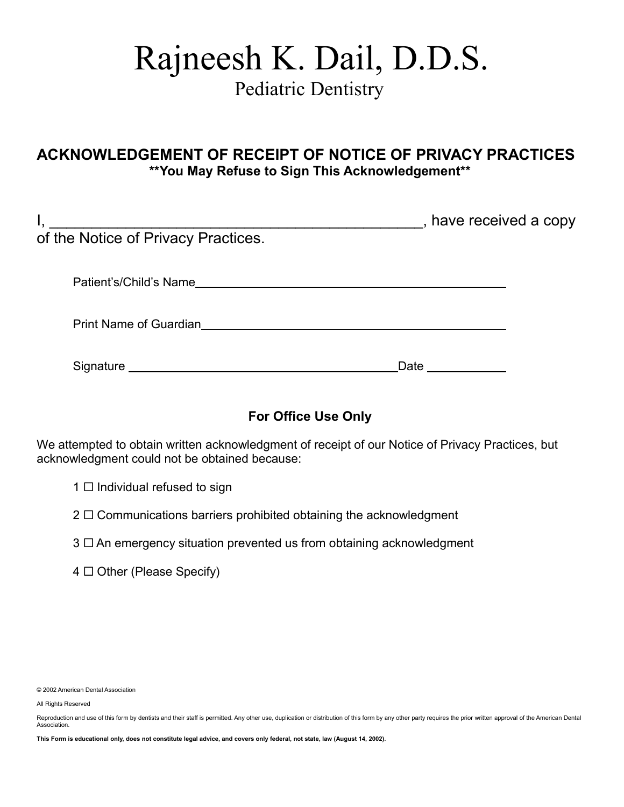# Rajneesh K. Dail, D.D.S. Pediatric Dentistry

## **ACKNOWLEDGEMENT OF RECEIPT OF NOTICE OF PRIVACY PRACTICES \*\*You May Refuse to Sign This Acknowledgement\*\***

|                                                                                                                                                                                                                                     | have received a copy |  |
|-------------------------------------------------------------------------------------------------------------------------------------------------------------------------------------------------------------------------------------|----------------------|--|
| of the Notice of Privacy Practices.                                                                                                                                                                                                 |                      |  |
| Patient's/Child's Name                                                                                                                                                                                                              |                      |  |
| Print Name of Guardian <b>Example 2018</b> The Second Second Second Second Second Second Second Second Second Second Second Second Second Second Second Second Second Second Second Second Second Second Second Second Second Secon |                      |  |
| Signature                                                                                                                                                                                                                           | Date                 |  |

## **For Office Use Only**

We attempted to obtain written acknowledgment of receipt of our Notice of Privacy Practices, but acknowledgment could not be obtained because:

- $1 \Box$  Individual refused to sign
- $2 \Box$  Communications barriers prohibited obtaining the acknowledgment
- $3 \square$  An emergency situation prevented us from obtaining acknowledgment
- $4 \Box$  Other (Please Specify)

<sup>© 2002</sup> American Dental Association

All Rights Reserved

Reproduction and use of this form by dentists and their staff is permitted. Any other use, duplication or distribution of this form by any other party requires the prior written approval of the American Dental **Association** 

**This Form is educational only, does not constitute legal advice, and covers only federal, not state, law (August 14, 2002).**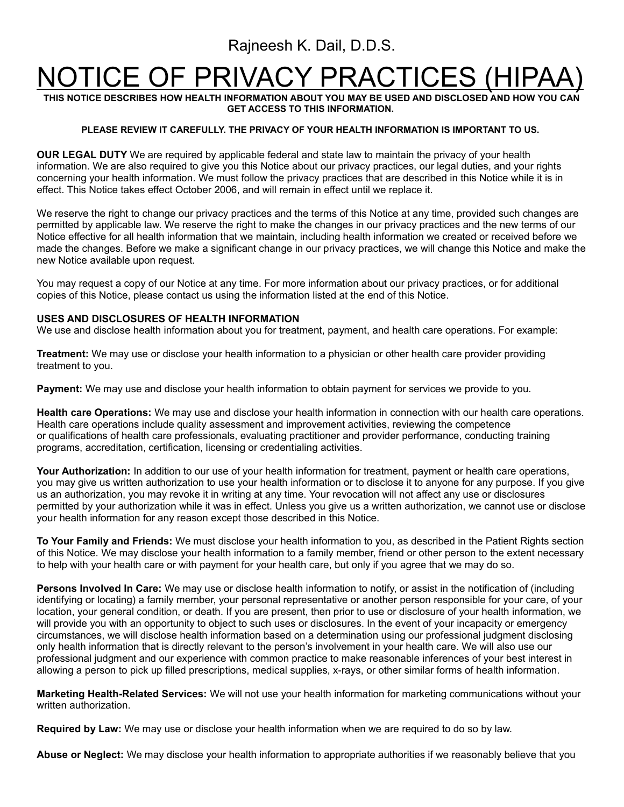Rajneesh K. Dail, D.D.S.

## TICE OF PRIVACY PRACTICES (HIP

**THIS NOTICE DESCRIBES HOW HEALTH INFORMATION ABOUT YOU MAY BE USED AND DISCLOSED AND HOW YOU CAN GET ACCESS TO THIS INFORMATION.** 

### **PLEASE REVIEW IT CAREFULLY. THE PRIVACY OF YOUR HEALTH INFORMATION IS IMPORTANT TO US.**

**OUR LEGAL DUTY** We are required by applicable federal and state law to maintain the privacy of your health information. We are also required to give you this Notice about our privacy practices, our legal duties, and your rights concerning your health information. We must follow the privacy practices that are described in this Notice while it is in effect. This Notice takes effect October 2006, and will remain in effect until we replace it.

We reserve the right to change our privacy practices and the terms of this Notice at any time, provided such changes are permitted by applicable law. We reserve the right to make the changes in our privacy practices and the new terms of our Notice effective for all health information that we maintain, including health information we created or received before we made the changes. Before we make a significant change in our privacy practices, we will change this Notice and make the new Notice available upon request.

You may request a copy of our Notice at any time. For more information about our privacy practices, or for additional copies of this Notice, please contact us using the information listed at the end of this Notice.

#### **USES AND DISCLOSURES OF HEALTH INFORMATION**

We use and disclose health information about you for treatment, payment, and health care operations. For example:

**Treatment:** We may use or disclose your health information to a physician or other health care provider providing treatment to you.

**Payment:** We may use and disclose your health information to obtain payment for services we provide to you.

**Health care Operations:** We may use and disclose your health information in connection with our health care operations. Health care operations include quality assessment and improvement activities, reviewing the competence or qualifications of health care professionals, evaluating practitioner and provider performance, conducting training programs, accreditation, certification, licensing or credentialing activities.

**Your Authorization:** In addition to our use of your health information for treatment, payment or health care operations, you may give us written authorization to use your health information or to disclose it to anyone for any purpose. If you give us an authorization, you may revoke it in writing at any time. Your revocation will not affect any use or disclosures permitted by your authorization while it was in effect. Unless you give us a written authorization, we cannot use or disclose your health information for any reason except those described in this Notice.

**To Your Family and Friends:** We must disclose your health information to you, as described in the Patient Rights section of this Notice. We may disclose your health information to a family member, friend or other person to the extent necessary to help with your health care or with payment for your health care, but only if you agree that we may do so.

**Persons Involved In Care:** We may use or disclose health information to notify, or assist in the notification of (including identifying or locating) a family member, your personal representative or another person responsible for your care, of your location, your general condition, or death. If you are present, then prior to use or disclosure of your health information, we will provide you with an opportunity to object to such uses or disclosures. In the event of your incapacity or emergency circumstances, we will disclose health information based on a determination using our professional judgment disclosing only health information that is directly relevant to the person's involvement in your health care. We will also use our professional judgment and our experience with common practice to make reasonable inferences of your best interest in allowing a person to pick up filled prescriptions, medical supplies, x-rays, or other similar forms of health information.

**Marketing Health-Related Services:** We will not use your health information for marketing communications without your written authorization.

**Required by Law:** We may use or disclose your health information when we are required to do so by law.

**Abuse or Neglect:** We may disclose your health information to appropriate authorities if we reasonably believe that you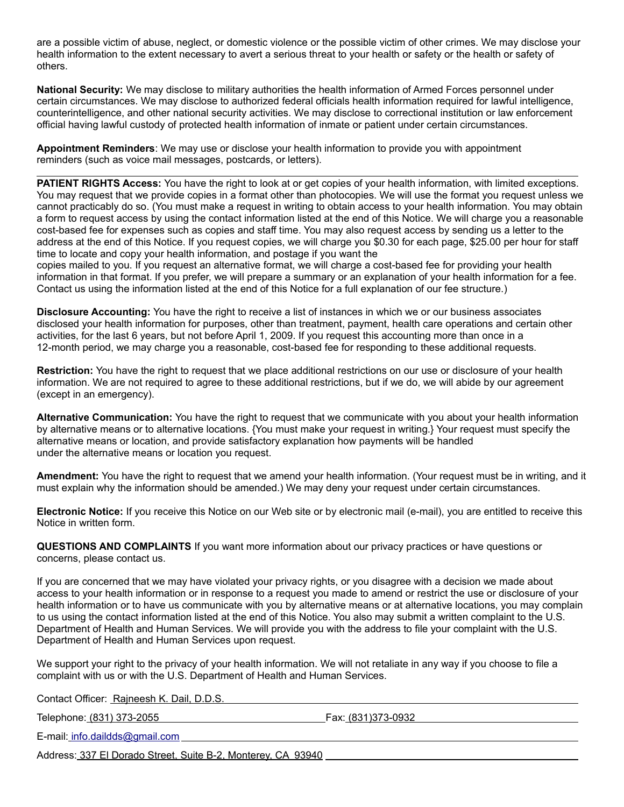are a possible victim of abuse, neglect, or domestic violence or the possible victim of other crimes. We may disclose your health information to the extent necessary to avert a serious threat to your health or safety or the health or safety of others.

**National Security:** We may disclose to military authorities the health information of Armed Forces personnel under certain circumstances. We may disclose to authorized federal officials health information required for lawful intelligence, counterintelligence, and other national security activities. We may disclose to correctional institution or law enforcement official having lawful custody of protected health information of inmate or patient under certain circumstances.

**Appointment Reminders**: We may use or disclose your health information to provide you with appointment reminders (such as voice mail messages, postcards, or letters).

 **PATIENT RIGHTS Access:** You have the right to look at or get copies of your health information, with limited exceptions. You may request that we provide copies in a format other than photocopies. We will use the format you request unless we cannot practicably do so. (You must make a request in writing to obtain access to your health information. You may obtain a form to request access by using the contact information listed at the end of this Notice. We will charge you a reasonable cost-based fee for expenses such as copies and staff time. You may also request access by sending us a letter to the address at the end of this Notice. If you request copies, we will charge you \$0.30 for each page, \$25.00 per hour for staff time to locate and copy your health information, and postage if you want the

copies mailed to you. If you request an alternative format, we will charge a cost-based fee for providing your health information in that format. If you prefer, we will prepare a summary or an explanation of your health information for a fee. Contact us using the information listed at the end of this Notice for a full explanation of our fee structure.)

**Disclosure Accounting:** You have the right to receive a list of instances in which we or our business associates disclosed your health information for purposes, other than treatment, payment, health care operations and certain other activities, for the last 6 years, but not before April 1, 2009. If you request this accounting more than once in a 12-month period, we may charge you a reasonable, cost-based fee for responding to these additional requests.

**Restriction:** You have the right to request that we place additional restrictions on our use or disclosure of your health information. We are not required to agree to these additional restrictions, but if we do, we will abide by our agreement (except in an emergency).

**Alternative Communication:** You have the right to request that we communicate with you about your health information by alternative means or to alternative locations. {You must make your request in writing.} Your request must specify the alternative means or location, and provide satisfactory explanation how payments will be handled under the alternative means or location you request.

**Amendment:** You have the right to request that we amend your health information. (Your request must be in writing, and it must explain why the information should be amended.) We may deny your request under certain circumstances.

**Electronic Notice:** If you receive this Notice on our Web site or by electronic mail (e-mail), you are entitled to receive this Notice in written form.

**QUESTIONS AND COMPLAINTS** If you want more information about our privacy practices or have questions or concerns, please contact us.

If you are concerned that we may have violated your privacy rights, or you disagree with a decision we made about access to your health information or in response to a request you made to amend or restrict the use or disclosure of your health information or to have us communicate with you by alternative means or at alternative locations, you may complain to us using the contact information listed at the end of this Notice. You also may submit a written complaint to the U.S. Department of Health and Human Services. We will provide you with the address to file your complaint with the U.S. Department of Health and Human Services upon request.

We support your right to the privacy of your health information. We will not retaliate in any way if you choose to file a complaint with us or with the U.S. Department of Health and Human Services.

Contact Officer: Rajneesh K. Dail, D.D.S.

Telephone: (831) 373-2055 Fax: (831)373-0932

E-mail: [info.daildds@gmail.com](mailto:info.daildds@gmail.com)

Address: 337 El Dorado Street, Suite B-2, Monterey, CA 93940